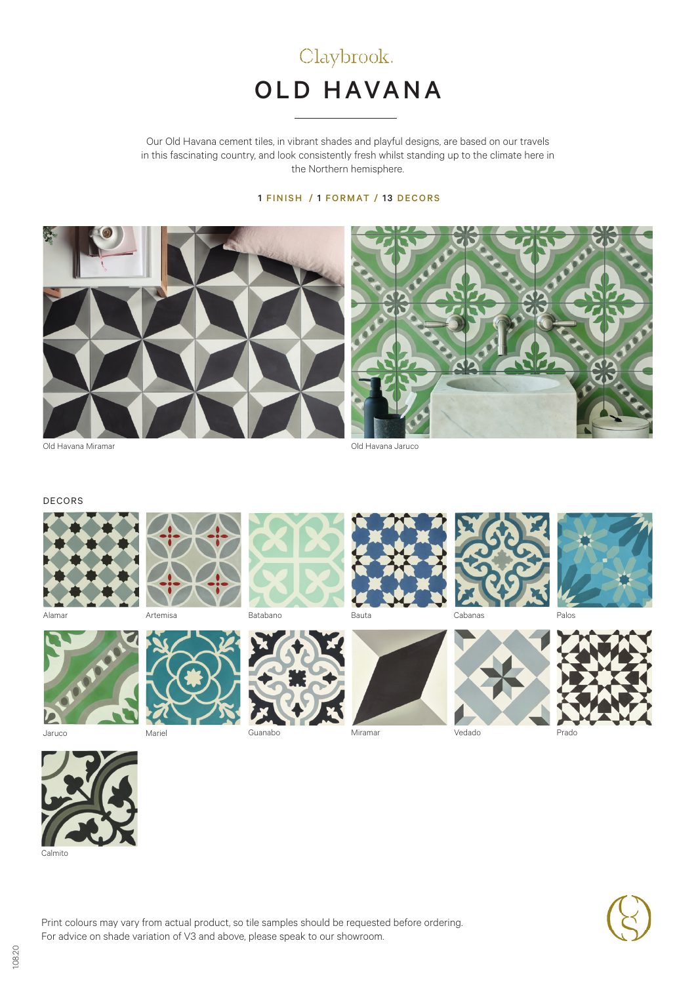

Our Old Havana cement tiles, in vibrant shades and playful designs, are based on our travels in this fascinating country, and look consistently fresh whilst standing up to the climate here in the Northern hemisphere.

### 1 FINISH / 1 FORMAT / 13 DECORS



#### DECORS





Jaruco Mariel





Guanabo Miramar Vedado Prado











Calmito



Print colours may vary from actual product, so tile samples should be requested before ordering. For advice on shade variation of V3 and above, please speak to our showroom.